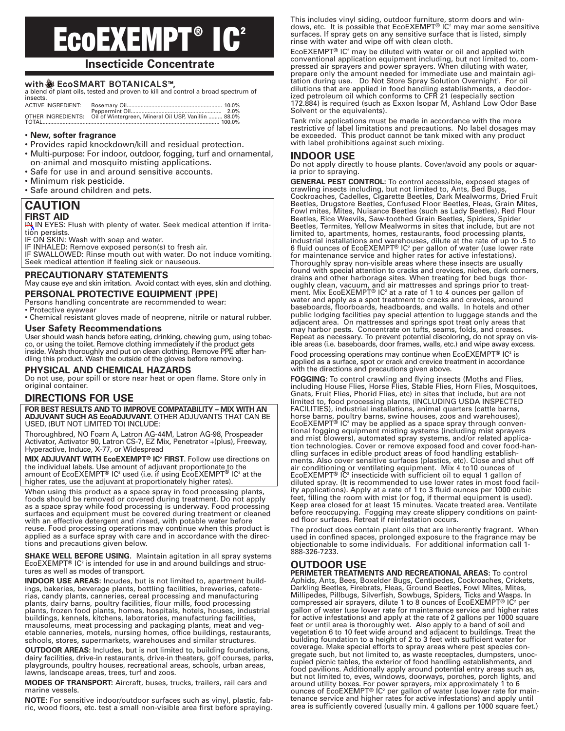# **EcoEXEMPT ® IC**<sup>2</sup>

# **Insecticide Concentrate**

with  $\frac{36}{27}$  **EcoSMART BOTANICALS™**, a blend of plant oils, tested and proven to kill and control a broad spectrum of insects.

| ACTIVE INGREDIENT: |                                                                         |  |
|--------------------|-------------------------------------------------------------------------|--|
|                    |                                                                         |  |
|                    | OTHER INGREDIENTS: Oil of Wintergreen, Mineral Oil USP, Vanillin  88.0% |  |
|                    |                                                                         |  |

#### • **New, softer fragrance**

- Provides rapid knockdown/kill and residual protection.
- Multi-purpose: For indoor, outdoor, fogging, turf and ornamental, • on-animal and mosquito misting applications.
- Safe for use in and around sensitive accounts.
- Minimum risk pesticide.
- Safe around children and pets.

# **CAUTION FIRST AID**

IN IN EYES: Flush with plenty of water. Seek medical attention if irritation persists.

IF ON SKIN: Wash with soap and water.

IF INHALED: Remove exposed person(s) to fresh air. IF SWALLOWED: Rinse mouth out with water. Do not induce vomiting. Seek medical attention if feeling sick or nauseous.

## **PRECAUTIONARY STATEMENTS**

May cause eye and skin irritation. Avoid contact with eyes, skin and clothing. **PERSONAL PROTECTIVE EQUIPMENT (PPE)**

Persons handling concentrate are recommended to wear:

• Protective eyewear

• Chemical resistant gloves made of neoprene, nitrile or natural rubber.

#### **User Safety Recommendations**

User should wash hands before eating, drinking, chewing gum, using tobacco, or using the toilet. Remove clothing immediately if the product gets inside. Wash thoroughly and put on clean clothing. Remove PPE after handling this product. Wash the outside of the gloves before removing.

## **PHYSICAL AND CHEMICAL HAZARDS**

Do not use, pour spill or store near heat or open flame. Store only in original container.

# **DIRECTIONS FOR USE**

**FOR BEST RESULTS AND TO IMPROVE COMPATABILITY – MIX WITH AN ADJUVANT SUCH AS EcoADJUVANT.** OTHER ADJUVANTS THAT CAN BE USED, (BUT NOT LIMITED TO) INCLUDE:

Thoroughbred, NO Foam A, Latron AG-44M, Latron AG-98, Prospeader Activator, Activator 90, Latron CS-7, EZ Mix, Penetrator +(plus), Freeway, Hyperactive, Induce, X-77, or Widespread

**MIX ADJUVANT WITH EcoEXEMPT® IC2 FIRST**. Follow use directions on the individual labels. Use amount of adjuvant proportionate to the amount of EcoEXEMPT® IC<sup>2</sup> used (i.e. if using EcoEXEMPT<sup>®</sup> IC<sup>2</sup> at the higher rates, use the adjuvant at proportionately higher rates).

When using this product as a space spray in food processing plants, foods should be removed or covered during treatment. Do not apply as a space spray while food processing is underway. Food processing surfaces and equipment must be covered during treatment or cleaned with an effective detergent and rinsed, with potable water before reuse. Food processing operations may continue when this product is applied as a surface spray with care and in accordance with the directions and precautions given below.

**SHAKE WELL BEFORE USING.** Maintain agitation in all spray systems EcoEXEMPT® IC<sup>2</sup> is intended for use in and around buildings and structures as well as modes of transport.

**INDOOR USE AREAS:** Incudes, but is not limited to, apartment buildings, bakeries, beverage plants, bottling facilities, breweries, cafeterias, candy plants, canneries, cereal processing and manufacturing plants, dairy barns, poultry facilities, flour mills, food processing plants, frozen food plants, homes, hospitals, hotels, houses, industrial buildings, kennels, kitchens, laboratories, manufacturing facilities, mausoleums, meat processing and packaging plants, meat and vegetable canneries, motels, nursing homes, office buildings, restaurants, schools, stores, supermarkets, warehouses and similar structures.

**OUTDOOR AREAS:** Includes, but is not limited to, building foundations, dairy facilities, drive-in restaurants, drive-in theaters, golf courses, parks, playgrounds, poultry houses, recreational areas, schools, urban areas, lawns, landscape areas, trees, turf and zoos.

**MODES OF TRANSPORT:** Aircraft, buses, trucks, trailers, rail cars and marine vessels.

**NOTE:** For sensitive indoor/outdoor surfaces such as vinyl, plastic, fabric, wood floors, etc. test a small non-visible area first before spraying.

This includes vinyl siding, outdoor furniture, storm doors and win-<br>dows, etc. It is possible that EcoEXEMPT® IC² may mar some sensitive surfaces. If spray gets on any sensitive surface that is listed, simply rinse with water and wipe off with clean cloth.

EcoEXEMPT® IC2 may be diluted with water or oil and applied with conventional application equipment including, but not limited to, compressed air sprayers and power sprayers. When diluting with water, prepare only the amount needed for immediate use and maintain agitation during use. Do Not Store Spray Solution Overnight<sup>1</sup>. For oil dilutions that are applied in food handling establishments, a deodorized petroleum oil which conforms to CFR 21 (especially section 172.884) is required (such as Exxon Isopar M, Ashland Low Odor Base Solvent or the equivalents).

Tank mix applications must be made in accordance with the more restrictive of label limitations and precautions. No label dosages may be exceeded. This product cannot be tank mixed with any product with label prohibitions against such mixing.

# **INDOOR USE**

Do not apply directly to house plants. Cover/avoid any pools or aquaria prior to spraying.

**GENERAL PEST CONTROL:** To control accessible, exposed stages of crawling insects including, but not limited to, Ants, Bed Bugs, Cockroaches, Cadelles, Cigarette Beetles, Dark Mealworms, Dried Fruit Beetles, Drugstore Beetles, Confused Floor Beetles, Fleas, Grain Mites, Fowl mites, Mites, Nuisance Beetles (such as Lady Beetles), Red Flour Beetles, Rice Weevils, Saw-toothed Grain Beetles, Spiders, Spider Beetles, Termites, Yellow Mealworms in sites that include, but are not limited to, apartments, homes, restaurants, food processing plants, industrial installations and warehouses, dilute at the rate of up to .5 to 6 fluid ounces of EcoEXEMPT® IC2 per gallon of water (use lower rate for maintenance service and higher rates for active infestations). Thoroughly spray non-visible areas where these insects are usually found with special attention to cracks and crevices, niches, dark corners, drains and other harborage sites. When treating for bed bugs thoroughly clean, vacuum, and air mattresses and springs prior to treat-<br>ment. Mix EcoEXEMPT® IC<sup>2</sup> at a rate of 1 to 4 ounces per gallon of water and apply as a spot treatment to cracks and crevices, around baseboards, floorboards, headboards, and walls. In hotels and other public lodging facilities pay special attention to luggage stands and the adjacent area. On mattresses and springs spot treat only areas that may harbor pests. Concentrate on tufts, seams, folds, and creases. Repeat as necessary. To prevent potential discoloring, do not spray on visible areas (i.e. baseboards, door frames, walls, etc.) and wipe away excess.

Food processing operations may continue when EcoEXEMPT® IC<sup>2</sup> is applied as a surface, spot or crack and crevice treatment in accordance with the directions and precautions given above.

**FOGGING:** To control crawling and flying insects (Moths and Flies, including House Flies, Horse Flies, Stable Flies, Horn Flies, Mosquitoes, Gnats, Fruit Flies, Phorid Flies, etc) in sites that include, but are not limited to, food processing plants, (INCLUDING USDA INSPECTED FACILITIES), industrial installations, animal quarters (cattle barns, horse barns, poultry barns, swine houses, zoos and warehouses),<br>EcoEXEMPT® IC² may be applied as a space spray through conventional fogging equipment misting systems (including mist sprayers and mist blowers), automated spray systems, and/or related application technologies. Cover or remove exposed food and cover food-handling surfaces in edible product areas of food handling establishments. Also cover sensitive surfaces (plastics, etc). Close and shut off air conditioning or ventilating equipment. Mix 4 to10 ounces of<br>EcoEXEMPT® IC<sup>2</sup> insecticide with sufficient oil to equal 1 gallon of diluted spray. (It is recommended to use lower rates in most food facility applications). Apply at a rate of 1 to 3 fluid ounces per 1000 cubic feet, filling the room with mist (or fog, if thermal equipment is used). Keep area closed for at least 15 minutes. Vacate treated area. Ventilate before reoccupying. Fogging may create slippery conditions on painted floor surfaces. Retreat if reinfestation occurs.

The product does contain plant oils that are inherently fragrant. When used in confined spaces, prolonged exposure to the fragrance may be objectionable to some individuals. For additional information call 1- 888-326-7233.

# **OUTDOOR USE**

**PERIMETER TREATMENTS AND RECREATIONAL AREAS:** To control Aphids, Ants, Bees, Boxelder Bugs, Centipedes, Cockroaches, Crickets, Darkling Beetles, Firebrats, Fleas, Ground Beetles, Fowl Mites, Mites, Millipedes, Pillbugs, Silverfish, Sowbugs, Spiders, Ticks and Wasps. In compressed air sprayers, dilute 1 to 8 ounces of EcoEXEMPT® IC2 per gallon of water (use lower rate for maintenance service and higher rates for active infestations) and apply at the rate of 2 gallons per 1000 square feet or until area is thoroughly wet. Also apply to a band of soil and vegetation 6 to 10 feet wide around and adjacent to buildings. Treat the building foundation to a height of 2 to 3 feet with sufficient water for coverage. Make special efforts to spray areas where pest species congregate such, but not limited to, as waste receptacles, dumpsters, unoccupied picnic tables, the exterior of food handling establishments, and food pavilions. Additionally apply around potential entry areas such as, but not limited to, eves, windows, doorways, porches, porch lights, and around utility boxes. For power sprayers, mix approximately 1 to 6<br>ounces of EcoEXEMPT® IC² per gallon of water (use lower rate for maintenance service and higher rates for active infestations) and apply until area is sufficiently covered (usually min. 4 gallons per 1000 square feet.)